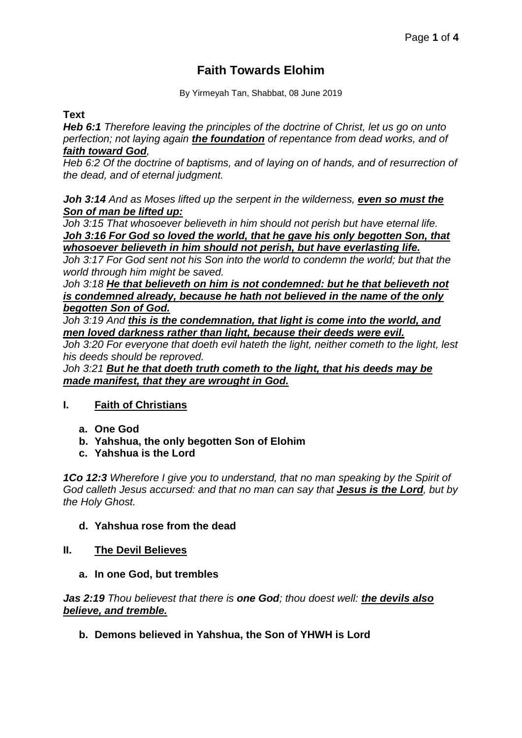# **Faith Towards Elohim**

By Yirmeyah Tan, Shabbat, 08 June 2019

### **Text**

*Heb 6:1 Therefore leaving the principles of the doctrine of Christ, let us go on unto perfection; not laying again the foundation of repentance from dead works, and of faith toward God,*

*Heb 6:2 Of the doctrine of baptisms, and of laying on of hands, and of resurrection of the dead, and of eternal judgment.*

*Joh 3:14 And as Moses lifted up the serpent in the wilderness, even so must the Son of man be lifted up:*

*Joh 3:15 That whosoever believeth in him should not perish but have eternal life. Joh 3:16 For God so loved the world, that he gave his only begotten Son, that whosoever believeth in him should not perish, but have everlasting life.*

*Joh 3:17 For God sent not his Son into the world to condemn the world; but that the world through him might be saved.*

*Joh 3:18 He that believeth on him is not condemned: but he that believeth not is condemned already, because he hath not believed in the name of the only begotten Son of God.*

*Joh 3:19 And this is the condemnation, that light is come into the world, and men loved darkness rather than light, because their deeds were evil.*

*Joh 3:20 For everyone that doeth evil hateth the light, neither cometh to the light, lest his deeds should be reproved.*

*Joh 3:21 But he that doeth truth cometh to the light, that his deeds may be made manifest, that they are wrought in God.*

# **I. Faith of Christians**

- **a. One God**
- **b. Yahshua, the only begotten Son of Elohim**
- **c. Yahshua is the Lord**

*1Co 12:3 Wherefore I give you to understand, that no man speaking by the Spirit of God calleth Jesus accursed: and that no man can say that Jesus is the Lord, but by the Holy Ghost.*

#### **d. Yahshua rose from the dead**

#### **II. The Devil Believes**

**a. In one God, but trembles**

*Jas 2:19 Thou believest that there is one God; thou doest well: the devils also believe, and tremble.*

**b. Demons believed in Yahshua, the Son of YHWH is Lord**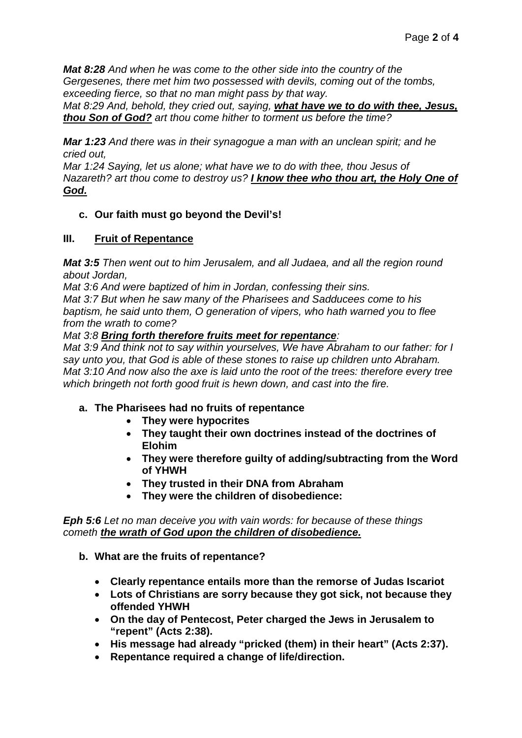*Mat 8:28 And when he was come to the other side into the country of the Gergesenes, there met him two possessed with devils, coming out of the tombs, exceeding fierce, so that no man might pass by that way.*

*Mat 8:29 And, behold, they cried out, saying, what have we to do with thee, Jesus, thou Son of God? art thou come hither to torment us before the time?*

*Mar 1:23 And there was in their synagogue a man with an unclean spirit; and he cried out,*

*Mar 1:24 Saying, let us alone; what have we to do with thee, thou Jesus of Nazareth? art thou come to destroy us? I know thee who thou art, the Holy One of God.*

# **c. Our faith must go beyond the Devil's!**

#### **III. Fruit of Repentance**

*Mat 3:5 Then went out to him Jerusalem, and all Judaea, and all the region round about Jordan,*

*Mat 3:6 And were baptized of him in Jordan, confessing their sins.*

*Mat 3:7 But when he saw many of the Pharisees and Sadducees come to his baptism, he said unto them, O generation of vipers, who hath warned you to flee from the wrath to come?*

#### *Mat 3:8 Bring forth therefore fruits meet for repentance:*

*Mat 3:9 And think not to say within yourselves, We have Abraham to our father: for I say unto you, that God is able of these stones to raise up children unto Abraham. Mat 3:10 And now also the axe is laid unto the root of the trees: therefore every tree which bringeth not forth good fruit is hewn down, and cast into the fire.*

# **a. The Pharisees had no fruits of repentance**

- **They were hypocrites**
- **They taught their own doctrines instead of the doctrines of Elohim**
- **They were therefore guilty of adding/subtracting from the Word of YHWH**
- **They trusted in their DNA from Abraham**
- **They were the children of disobedience:**

*Eph 5:6 Let no man deceive you with vain words: for because of these things cometh the wrath of God upon the children of disobedience.*

- **b. What are the fruits of repentance?**
	- **Clearly repentance entails more than the remorse of Judas Iscariot**
	- **Lots of Christians are sorry because they got sick, not because they offended YHWH**
	- **On the day of Pentecost, Peter charged the Jews in Jerusalem to "repent" (Acts 2:38).**
	- **His message had already "pricked (them) in their heart" (Acts 2:37).**
	- **Repentance required a change of life/direction.**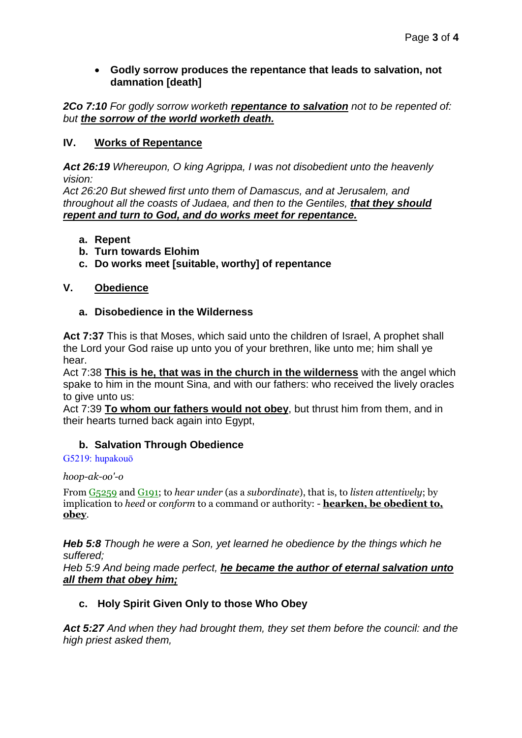### • **Godly sorrow produces the repentance that leads to salvation, not damnation [death]**

*2Co 7:10 For godly sorrow worketh repentance to salvation not to be repented of: but the sorrow of the world worketh death.*

# **IV. Works of Repentance**

*Act 26:19 Whereupon, O king Agrippa, I was not disobedient unto the heavenly vision:*

*Act 26:20 But shewed first unto them of Damascus, and at Jerusalem, and throughout all the coasts of Judaea, and then to the Gentiles, that they should repent and turn to God, and do works meet for repentance.*

### **a. Repent**

- **b. Turn towards Elohim**
- **c. Do works meet [suitable, worthy] of repentance**

# **V. Obedience**

### **a. Disobedience in the Wilderness**

**Act 7:37** This is that Moses, which said unto the children of Israel, A prophet shall the Lord your God raise up unto you of your brethren, like unto me; him shall ye hear.

Act 7:38 **This is he, that was in the church in the wilderness** with the angel which spake to him in the mount Sina, and with our fathers: who received the lively oracles to give unto us:

Act 7:39 **To whom our fathers would not obey**, but thrust him from them, and in their hearts turned back again into Egypt,

# **b. Salvation Through Obedience**

#### G5219: hupakouō

*hoop-ak-oo'-o*

From G5259 and G191; to *hear under* (as a *subordinate*), that is, to *listen attentively*; by implication to *heed* or *conform* to a command or authority: - **hearken, be obedient to, obey**.

*Heb 5:8 Though he were a Son, yet learned he obedience by the things which he suffered;*

*Heb 5:9 And being made perfect, he became the author of eternal salvation unto all them that obey him;*

# **c. Holy Spirit Given Only to those Who Obey**

*Act 5:27 And when they had brought them, they set them before the council: and the high priest asked them,*